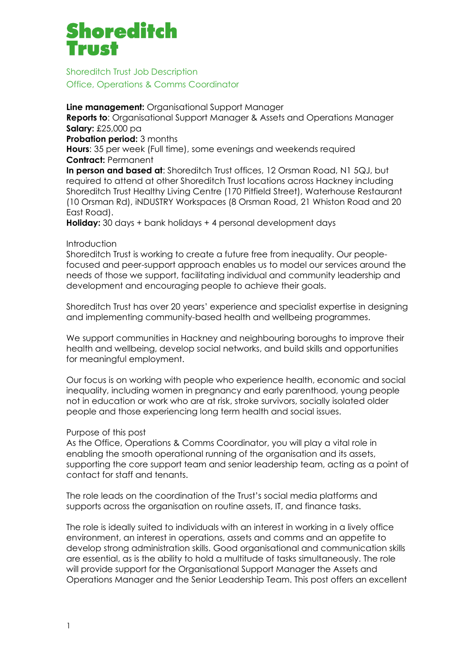# Shoreditch

Shoreditch Trust Job Description Office, Operations & Comms Coordinator

**Line management:** Organisational Support Manager **Reports to**: Organisational Support Manager & Assets and Operations Manager **Salary:** £25,000 pa **Probation period: 3 months Hours**: 35 per week (Full time), some evenings and weekends required **Contract:** Permanent **In person and based at**: Shoreditch Trust offices, 12 Orsman Road, N1 5QJ, but required to attend at other Shoreditch Trust locations across Hackney including Shoreditch Trust Healthy Living Centre (170 Pitfield Street), Waterhouse Restaurant (10 Orsman Rd), iNDUSTRY Workspaces (8 Orsman Road, 21 Whiston Road and 20 East Road).

**Holiday:** 30 days + bank holidays + 4 personal development days

## Introduction

Shoreditch Trust is working to create a future free from inequality. Our peoplefocused and peer-support approach enables us to model our services around the needs of those we support, facilitating individual and community leadership and development and encouraging people to achieve their goals.

Shoreditch Trust has over 20 years' experience and specialist expertise in designing and implementing community-based health and wellbeing programmes.

We support communities in Hackney and neighbouring boroughs to improve their health and wellbeing, develop social networks, and build skills and opportunities for meaningful employment.

Our focus is on working with people who experience health, economic and social inequality, including women in pregnancy and early parenthood, young people not in education or work who are at risk, stroke survivors, socially isolated older people and those experiencing long term health and social issues.

# Purpose of this post

As the Office, Operations & Comms Coordinator, you will play a vital role in enabling the smooth operational running of the organisation and its assets, supporting the core support team and senior leadership team, acting as a point of contact for staff and tenants.

The role leads on the coordination of the Trust's social media platforms and supports across the organisation on routine assets, IT, and finance tasks.

The role is ideally suited to individuals with an interest in working in a lively office environment, an interest in operations, assets and comms and an appetite to develop strong administration skills. Good organisational and communication skills are essential, as is the ability to hold a multitude of tasks simultaneously. The role will provide support for the Organisational Support Manager the Assets and Operations Manager and the Senior Leadership Team. This post offers an excellent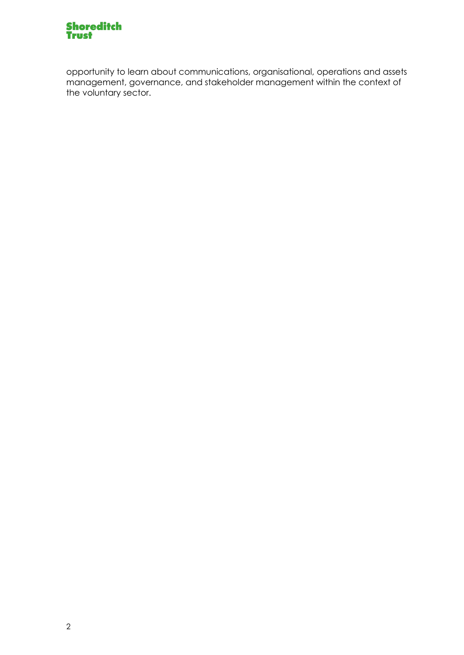

opportunity to learn about communications, organisational, operations and assets management, governance, and stakeholder management within the context of the voluntary sector.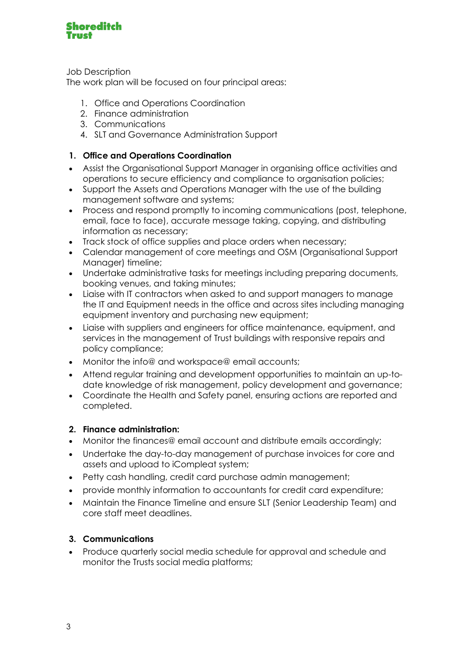

Job Description

The work plan will be focused on four principal areas:

- 1. Office and Operations Coordination
- 2. Finance administration
- 3. Communications
- 4. SLT and Governance Administration Support

# **1. Office and Operations Coordination**

- Assist the Organisational Support Manager in organising office activities and operations to secure efficiency and compliance to organisation policies;
- Support the Assets and Operations Manager with the use of the building management software and systems;
- Process and respond promptly to incoming communications (post, telephone, email, face to face), accurate message taking, copying, and distributing information as necessary;
- Track stock of office supplies and place orders when necessary;
- Calendar management of core meetings and OSM (Organisational Support Manager) timeline;
- Undertake administrative tasks for meetings including preparing documents, booking venues, and taking minutes;
- Liaise with IT contractors when asked to and support managers to manage the IT and Equipment needs in the office and across sites including managing equipment inventory and purchasing new equipment;
- Liaise with suppliers and engineers for office maintenance, equipment, and services in the management of Trust buildings with responsive repairs and policy compliance;
- Monitor the info@ and workspace@ email accounts;
- Attend regular training and development opportunities to maintain an up-todate knowledge of risk management, policy development and governance;
- Coordinate the Health and Safety panel, ensuring actions are reported and completed.

# **2. Finance administration:**

- Monitor the finances@ email account and distribute emails accordingly;
- Undertake the day-to-day management of purchase invoices for core and assets and upload to iCompleat system;
- Petty cash handling, credit card purchase admin management;
- provide monthly information to accountants for credit card expenditure;
- Maintain the Finance Timeline and ensure SLT (Senior Leadership Team) and core staff meet deadlines.

# **3. Communications**

• Produce quarterly social media schedule for approval and schedule and monitor the Trusts social media platforms;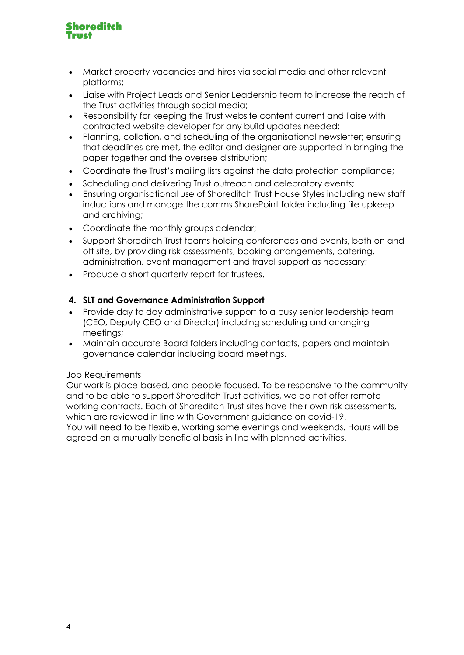

- Market property vacancies and hires via social media and other relevant platforms;
- Liaise with Project Leads and Senior Leadership team to increase the reach of the Trust activities through social media;
- Responsibility for keeping the Trust website content current and liaise with contracted website developer for any build updates needed;
- Planning, collation, and scheduling of the organisational newsletter; ensuring that deadlines are met, the editor and designer are supported in bringing the paper together and the oversee distribution;
- Coordinate the Trust's mailing lists against the data protection compliance;
- Scheduling and delivering Trust outreach and celebratory events:
- Ensuring organisational use of Shoreditch Trust House Styles including new staff inductions and manage the comms SharePoint folder including file upkeep and archiving;
- Coordinate the monthly groups calendar;
- Support Shoreditch Trust teams holding conferences and events, both on and off site, by providing risk assessments, booking arrangements, catering, administration, event management and travel support as necessary;
- Produce a short quarterly report for trustees.

## **4. SLT and Governance Administration Support**

- Provide day to day administrative support to a busy senior leadership team (CEO, Deputy CEO and Director) including scheduling and arranging meetings;
- Maintain accurate Board folders including contacts, papers and maintain governance calendar including board meetings.

### Job Requirements

Our work is place-based, and people focused. To be responsive to the community and to be able to support Shoreditch Trust activities, we do not offer remote working contracts. Each of Shoreditch Trust sites have their own risk assessments, which are reviewed in line with Government guidance on covid-19.

You will need to be flexible, working some evenings and weekends. Hours will be agreed on a mutually beneficial basis in line with planned activities.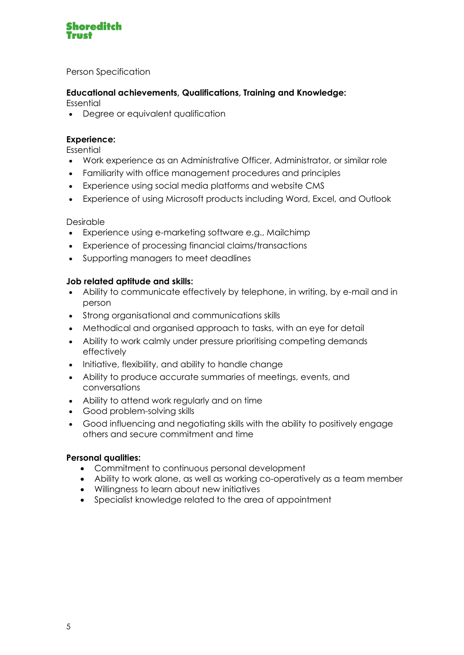

Person Specification

## **Educational achievements, Qualifications, Training and Knowledge:**

**Essential** 

• Degree or equivalent qualification

## **Experience:**

Essential

- Work experience as an Administrative Officer, Administrator, or similar role
- Familiarity with office management procedures and principles
- Experience using social media platforms and website CMS
- Experience of using Microsoft products including Word, Excel, and Outlook

## Desirable

- Experience using e-marketing software e.g., Mailchimp
- Experience of processing financial claims/transactions
- Supporting managers to meet deadlines

## **Job related aptitude and skills:**

- Ability to communicate effectively by telephone, in writing, by e-mail and in person
- Strong organisational and communications skills
- Methodical and organised approach to tasks, with an eye for detail
- Ability to work calmly under pressure prioritising competing demands effectively
- Initiative, flexibility, and ability to handle change
- Ability to produce accurate summaries of meetings, events, and conversations
- Ability to attend work regularly and on time
- Good problem-solving skills
- Good influencing and negotiating skills with the ability to positively engage others and secure commitment and time

### **Personal qualities:**

- Commitment to continuous personal development
- Ability to work alone, as well as working co-operatively as a team member
- Willingness to learn about new initiatives
- Specialist knowledge related to the area of appointment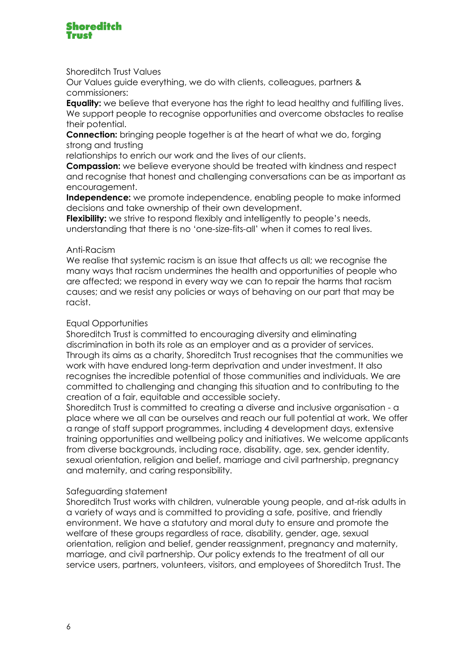

Shoreditch Trust Values

Our Values guide everything, we do with clients, colleagues, partners & commissioners:

**Equality:** we believe that everyone has the right to lead healthy and fulfilling lives. We support people to recognise opportunities and overcome obstacles to realise their potential.

**Connection:** bringing people together is at the heart of what we do, forging strong and trusting

relationships to enrich our work and the lives of our clients.

**Compassion:** we believe everyone should be treated with kindness and respect and recognise that honest and challenging conversations can be as important as encouragement.

**Independence:** we promote independence, enabling people to make informed decisions and take ownership of their own development.

**Flexibility:** we strive to respond flexibly and intelligently to people's needs, understanding that there is no 'one-size-fits-all' when it comes to real lives.

#### Anti-Racism

We realise that systemic racism is an issue that affects us all; we recognise the many ways that racism undermines the health and opportunities of people who are affected; we respond in every way we can to repair the harms that racism causes; and we resist any policies or ways of behaving on our part that may be racist.

#### Equal Opportunities

Shoreditch Trust is committed to encouraging diversity and eliminating discrimination in both its role as an employer and as a provider of services. Through its aims as a charity, Shoreditch Trust recognises that the communities we work with have endured long-term deprivation and under investment. It also recognises the incredible potential of those communities and individuals. We are committed to challenging and changing this situation and to contributing to the creation of a fair, equitable and accessible society.

Shoreditch Trust is committed to creating a diverse and inclusive organisation - a place where we all can be ourselves and reach our full potential at work. We offer a range of staff support programmes, including 4 development days, extensive training opportunities and wellbeing policy and initiatives. We welcome applicants from diverse backgrounds, including race, disability, age, sex, gender identity, sexual orientation, religion and belief, marriage and civil partnership, pregnancy and maternity, and caring responsibility.

#### Safeguarding statement

Shoreditch Trust works with children, vulnerable young people, and at-risk adults in a variety of ways and is committed to providing a safe, positive, and friendly environment. We have a statutory and moral duty to ensure and promote the welfare of these groups regardless of race, disability, gender, age, sexual orientation, religion and belief, gender reassignment, pregnancy and maternity, marriage, and civil partnership. Our policy extends to the treatment of all our service users, partners, volunteers, visitors, and employees of Shoreditch Trust. The